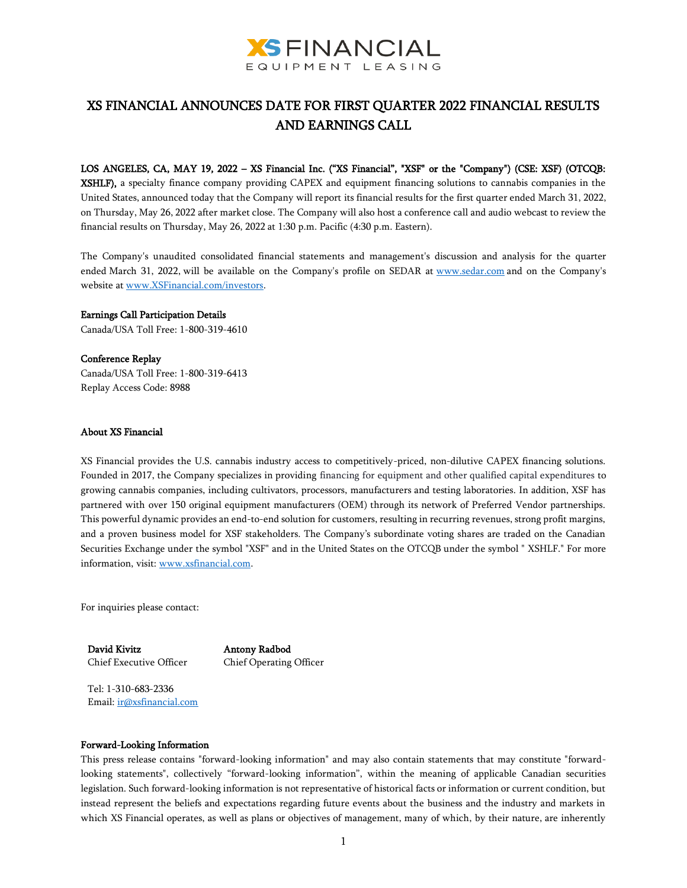

# XS FINANCIAL ANNOUNCES DATE FOR FIRST QUARTER 2022 FINANCIAL RESULTS AND EARNINGS CALL

#### LOS ANGELES, CA, MAY 19, 2022 – XS Financial Inc. ("XS Financial", "XSF" or the "Company") (CSE: XSF) (OTCQB:

XSHLF), a specialty finance company providing CAPEX and equipment financing solutions to cannabis companies in the United States, announced today that the Company will report its financial results for the first quarter ended March 31, 2022, on Thursday, May 26, 2022 after market close. The Company will also host a conference call and audio webcast to review the financial results on Thursday, May 26, 2022 at 1:30 p.m. Pacific (4:30 p.m. Eastern).

The Company's unaudited consolidated financial statements and management's discussion and analysis for the quarter ended March 31, 2022, will be available on the Company's profile on SEDAR at [www.sedar.com](https://c212.net/c/link/?t=0&l=en&o=3257186-1&h=2911139619&u=http%3A%2F%2Fwww.sedar.com%2F&a=www.sedar.com) and on the Company's website at [www.XSFinancial.com/investors.](http://www.xsfinancial.com/investors)

# Earnings Call Participation Details

Canada/USA Toll Free: 1-800-319-4610

### Conference Replay

Canada/USA Toll Free: 1-800-319-6413 Replay Access Code: 8988

### About XS Financial

XS Financial provides the U.S. cannabis industry access to competitively-priced, non-dilutive CAPEX financing solutions. Founded in 2017, the Company specializes in providing financing for equipment and other qualified capital expenditures to growing cannabis companies, including cultivators, processors, manufacturers and testing laboratories. In addition, XSF has partnered with over 150 original equipment manufacturers (OEM) through its network of Preferred Vendor partnerships. This powerful dynamic provides an end-to-end solution for customers, resulting in recurring revenues, strong profit margins, and a proven business model for XSF stakeholders. The Company's subordinate voting shares are traded on the Canadian Securities Exchange under the symbol "XSF" and in the United States on the OTCQB under the symbol " XSHLF." For more information, visit: [www.xsfinancial.com.](http://www.xsfinancial.com/) 

For inquiries please contact:

David Kivitz Chief Executive Officer Antony Radbod Chief Operating Officer

Tel: 1-310-683-2336 Email[: ir@xsfinancial.com](mailto:ir@xsfinancial.com)

#### Forward-Looking Information

This press release contains "forward-looking information" and may also contain statements that may constitute "forwardlooking statements", collectively "forward-looking information", within the meaning of applicable Canadian securities legislation. Such forward-looking information is not representative of historical facts or information or current condition, but instead represent the beliefs and expectations regarding future events about the business and the industry and markets in which XS Financial operates, as well as plans or objectives of management, many of which, by their nature, are inherently